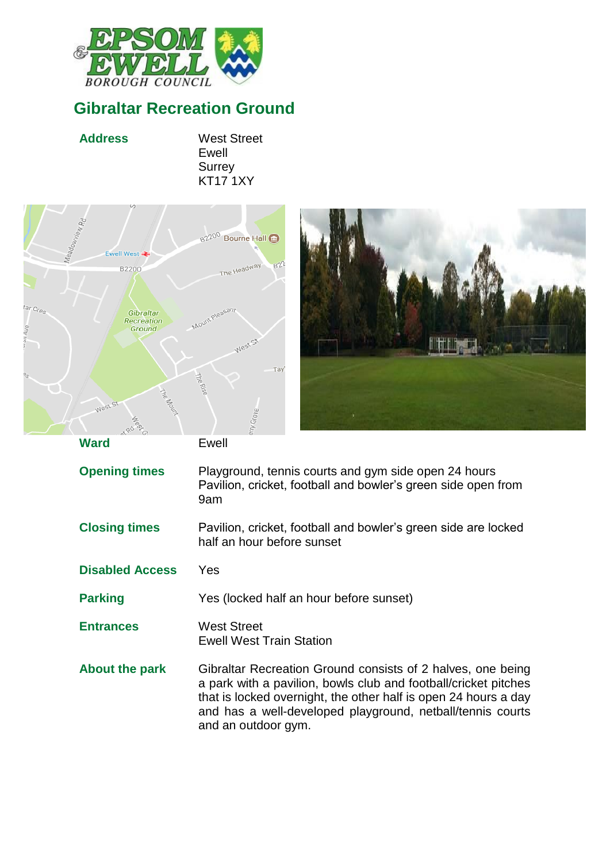

# **Gibraltar Recreation Ground**

## **Address** West Street Ewell **Surrey** KT17 1XY





**Ward** Ewell

**Opening times** Playground, tennis courts and gym side open 24 hours Pavilion, cricket, football and bowler's green side open from 9am

**Closing times** Pavilion, cricket, football and bowler's green side are locked half an hour before sunset

**Disabled Access** Yes

**Parking** Yes (locked half an hour before sunset)

**Entrances** West Street Ewell West Train Station

**About the park** Gibraltar Recreation Ground consists of 2 halves, one being a park with a pavilion, bowls club and football/cricket pitches that is locked overnight, the other half is open 24 hours a day and has a well-developed playground, netball/tennis courts and an outdoor gym.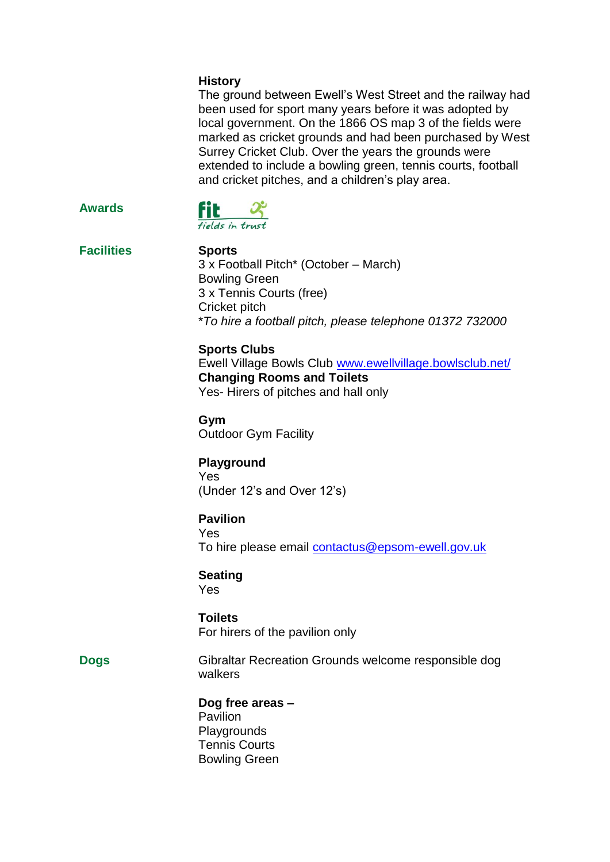#### **History**

The ground between Ewell's West Street and the railway had been used for sport many years before it was adopted by local government. On the 1866 OS map 3 of the fields were marked as cricket grounds and had been purchased by West Surrey Cricket Club. Over the years the grounds were extended to include a bowling green, tennis courts, football and cricket pitches, and a children's play area.



**Facilities Sports**

3 x Football Pitch\* (October – March) Bowling Green 3 x Tennis Courts (free) Cricket pitch \**To hire a football pitch, please telephone 01372 732000*

## **Sports Clubs**

Ewell Village Bowls Club [www.ewellvillage.bowlsclub.net/](http://www.ewellvillage.bowlsclub.net/) **Changing Rooms and Toilets** Yes- Hirers of pitches and hall only

**Gym** Outdoor Gym Facility

# **Playground**

Yes (Under 12's and Over 12's)

## **Pavilion**

Yes To hire please email [contactus@epsom-ewell.gov.uk](mailto:contactus@epsom-ewell.gov.uk)

### **Seating**

Yes

### **Toilets**

For hirers of the pavilion only

**Dogs** Gibraltar Recreation Grounds welcome responsible dog walkers

# **Dog free areas –**

Pavilion **Playgrounds** Tennis Courts Bowling Green